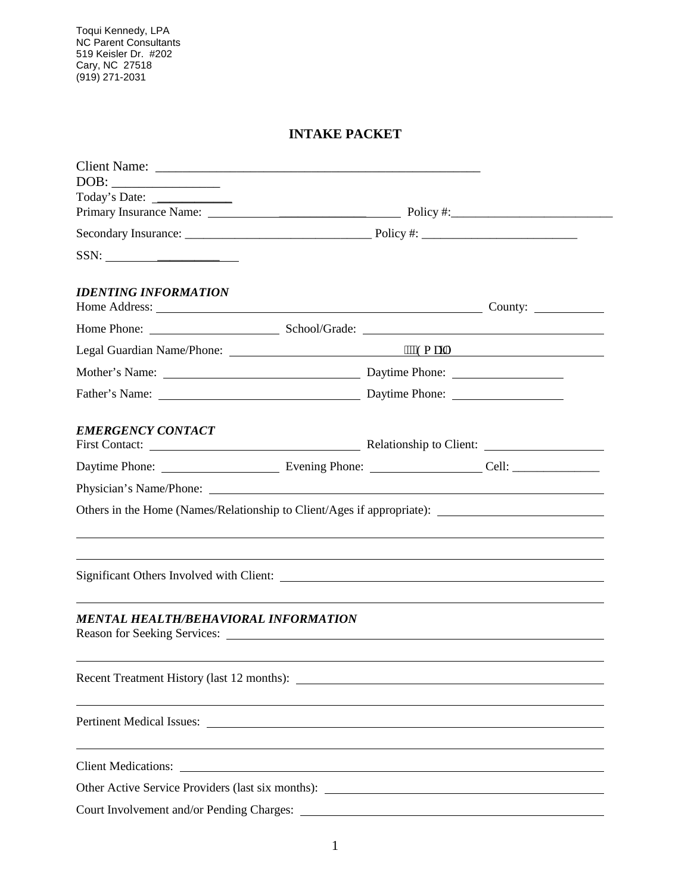Toqui Kennedy, LPA NC Parent Consultants 519 Keisler Dr. #202 Cary, NC 27518 (919) 271-2031

## **INTAKE PACKET**

| $\boxed{\text{DOB:}\qquad \qquad }$                                                                                                                                                                                                                                                                                                                                                                                                                                                                                                                                                                                              |                                                                                  |  |
|----------------------------------------------------------------------------------------------------------------------------------------------------------------------------------------------------------------------------------------------------------------------------------------------------------------------------------------------------------------------------------------------------------------------------------------------------------------------------------------------------------------------------------------------------------------------------------------------------------------------------------|----------------------------------------------------------------------------------|--|
|                                                                                                                                                                                                                                                                                                                                                                                                                                                                                                                                                                                                                                  |                                                                                  |  |
|                                                                                                                                                                                                                                                                                                                                                                                                                                                                                                                                                                                                                                  |                                                                                  |  |
|                                                                                                                                                                                                                                                                                                                                                                                                                                                                                                                                                                                                                                  |                                                                                  |  |
| $SSN: \underline{\hspace{2cm}} \underline{\hspace{2cm}} \underline{\hspace{2cm}} \underline{\hspace{2cm}} \underline{\hspace{2cm}} \underline{\hspace{2cm}} \underline{\hspace{2cm}} \underline{\hspace{2cm}} \underline{\hspace{2cm}} \underline{\hspace{2cm}} \underline{\hspace{2cm}} \underline{\hspace{2cm}} \underline{\hspace{2cm}} \underline{\hspace{2cm}} \underline{\hspace{2cm}} \underline{\hspace{2cm}} \underline{\hspace{2cm}} \underline{\hspace{2cm}} \underline{\hspace{2cm}} \underline{\hspace{2cm}} \underline{\hspace{2cm}} \underline{\hspace{2cm}} \underline{\hspace{2cm}} \underline{\hspace{2cm}} \$ |                                                                                  |  |
| <b>IDENTING INFORMATION</b>                                                                                                                                                                                                                                                                                                                                                                                                                                                                                                                                                                                                      |                                                                                  |  |
|                                                                                                                                                                                                                                                                                                                                                                                                                                                                                                                                                                                                                                  |                                                                                  |  |
|                                                                                                                                                                                                                                                                                                                                                                                                                                                                                                                                                                                                                                  |                                                                                  |  |
|                                                                                                                                                                                                                                                                                                                                                                                                                                                                                                                                                                                                                                  |                                                                                  |  |
|                                                                                                                                                                                                                                                                                                                                                                                                                                                                                                                                                                                                                                  |                                                                                  |  |
| <b>EMERGENCY CONTACT</b>                                                                                                                                                                                                                                                                                                                                                                                                                                                                                                                                                                                                         |                                                                                  |  |
|                                                                                                                                                                                                                                                                                                                                                                                                                                                                                                                                                                                                                                  |                                                                                  |  |
|                                                                                                                                                                                                                                                                                                                                                                                                                                                                                                                                                                                                                                  |                                                                                  |  |
| Others in the Home (Names/Relationship to Client/Ages if appropriate): _____________________________                                                                                                                                                                                                                                                                                                                                                                                                                                                                                                                             |                                                                                  |  |
|                                                                                                                                                                                                                                                                                                                                                                                                                                                                                                                                                                                                                                  |                                                                                  |  |
|                                                                                                                                                                                                                                                                                                                                                                                                                                                                                                                                                                                                                                  |                                                                                  |  |
| MENTAL HEALTH/BEHAVIORAL INFORMATION                                                                                                                                                                                                                                                                                                                                                                                                                                                                                                                                                                                             |                                                                                  |  |
|                                                                                                                                                                                                                                                                                                                                                                                                                                                                                                                                                                                                                                  |                                                                                  |  |
| ,我们也不会有什么。""我们的人,我们也不会有什么?""我们的人,我们也不会有什么?""我们的人,我们也不会有什么?""我们的人,我们也不会有什么?""我们的人                                                                                                                                                                                                                                                                                                                                                                                                                                                                                                                                                 |                                                                                  |  |
|                                                                                                                                                                                                                                                                                                                                                                                                                                                                                                                                                                                                                                  | ,我们也不会有什么。""我们的人,我们也不会有什么?""我们的人,我们也不会有什么?""我们的人,我们也不会有什么?""我们的人,我们也不会有什么?""我们的人 |  |
|                                                                                                                                                                                                                                                                                                                                                                                                                                                                                                                                                                                                                                  |                                                                                  |  |
|                                                                                                                                                                                                                                                                                                                                                                                                                                                                                                                                                                                                                                  |                                                                                  |  |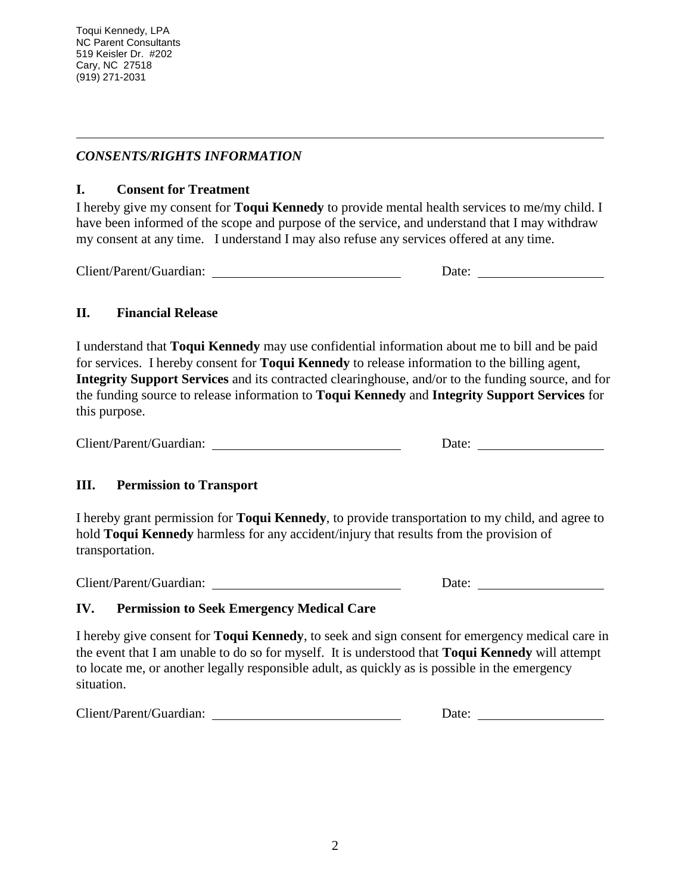$\overline{a}$ 

## *CONSENTS/RIGHTS INFORMATION*

## **I. Consent for Treatment**

I hereby give my consent for **Toqui Kennedy** to provide mental health services to me/my child. I have been informed of the scope and purpose of the service, and understand that I may withdraw my consent at any time. I understand I may also refuse any services offered at any time.

Client/Parent/Guardian: Date:

## **II. Financial Release**

I understand that **Toqui Kennedy** may use confidential information about me to bill and be paid for services. I hereby consent for **Toqui Kennedy** to release information to the billing agent, **Integrity Support Services** and its contracted clearinghouse, and/or to the funding source, and for the funding source to release information to **Toqui Kennedy** and **Integrity Support Services** for this purpose.

| Client/Parent/Guardian: | Date: |
|-------------------------|-------|
|-------------------------|-------|

## **III. Permission to Transport**

I hereby grant permission for **Toqui Kennedy**, to provide transportation to my child, and agree to hold **Toqui Kennedy** harmless for any accident/injury that results from the provision of transportation.

Client/Parent/Guardian: Date:

## **IV. Permission to Seek Emergency Medical Care**

I hereby give consent for **Toqui Kennedy**, to seek and sign consent for emergency medical care in the event that I am unable to do so for myself. It is understood that **Toqui Kennedy** will attempt to locate me, or another legally responsible adult, as quickly as is possible in the emergency situation.

Client/Parent/Guardian: Date: Date: Date: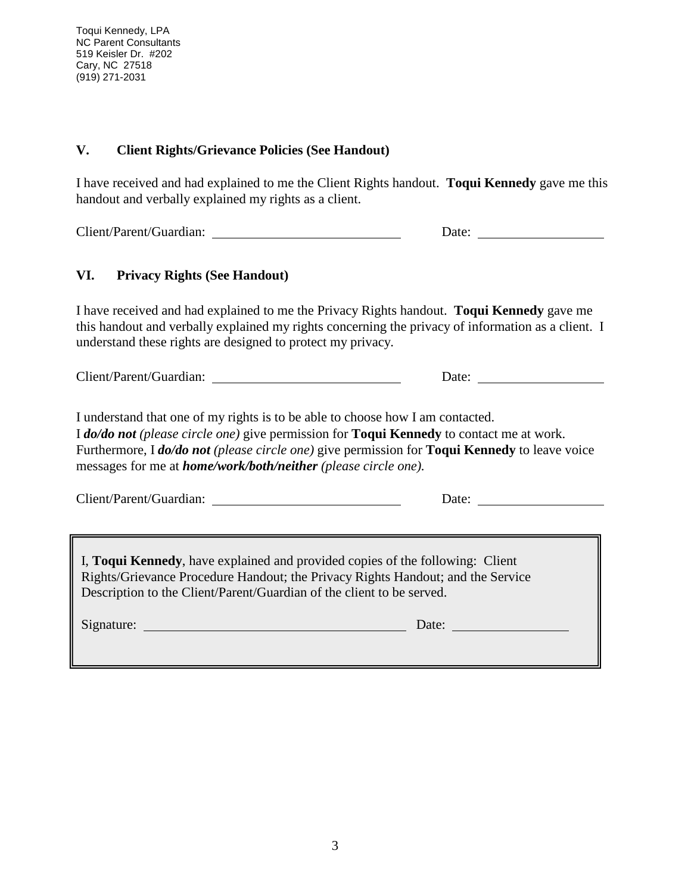Toqui Kennedy, LPA NC Parent Consultants 519 Keisler Dr. #202 Cary, NC 27518 (919) 271-2031

### **V. Client Rights/Grievance Policies (See Handout)**

I have received and had explained to me the Client Rights handout. **Toqui Kennedy** gave me this handout and verbally explained my rights as a client.

Client/Parent/Guardian: Date:

### **VI. Privacy Rights (See Handout)**

I have received and had explained to me the Privacy Rights handout. **Toqui Kennedy** gave me this handout and verbally explained my rights concerning the privacy of information as a client. I understand these rights are designed to protect my privacy.

Client/Parent/Guardian: Date:

I understand that one of my rights is to be able to choose how I am contacted. I *do/do not (please circle one)* give permission for **Toqui Kennedy** to contact me at work. Furthermore, I *do/do not (please circle one)* give permission for **Toqui Kennedy** to leave voice messages for me at *home/work/both/neither (please circle one).*

| Client/Parent/Guardian: | Jate |  |
|-------------------------|------|--|
|-------------------------|------|--|

I, **Toqui Kennedy**, have explained and provided copies of the following: Client Rights/Grievance Procedure Handout; the Privacy Rights Handout; and the Service Description to the Client/Parent/Guardian of the client to be served.

| Signature: | Date: |  |
|------------|-------|--|
|            |       |  |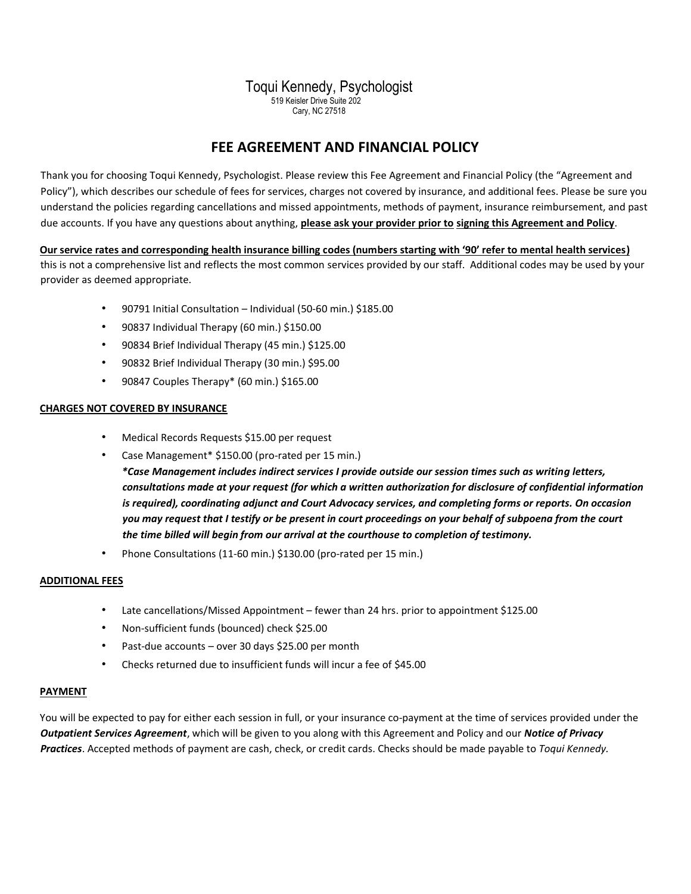# Toqui Kennedy, Psychologist

519 Keisler Drive Suite 202 Cary, NC 27518

# **FEE AGREEMENT AND FINANCIAL POLICY**

Thank you for choosing Toqui Kennedy, Psychologist. Please review this Fee Agreement and Financial Policy (the "Agreement and Policy"), which describes our schedule of fees for services, charges not covered by insurance, and additional fees. Please be sure you understand the policies regarding cancellations and missed appointments, methods of payment, insurance reimbursement, and past due accounts. If you have any questions about anything, **please ask your provider prior to signing this Agreement and Policy**.

**Our service rates and corresponding health insurance billing codes (numbers starting with '90' refer to mental health services)**

this is not a comprehensive list and reflects the most common services provided by our staff. Additional codes may be used by your provider as deemed appropriate.

- 90791 Initial Consultation Individual (50-60 min.) \$185.00
- 90837 Individual Therapy (60 min.) \$150.00
- 90834 Brief Individual Therapy (45 min.) \$125.00
- 90832 Brief Individual Therapy (30 min.) \$95.00
- 90847 Couples Therapy\* (60 min.) \$165.00

### **CHARGES NOT COVERED BY INSURANCE**

- Medical Records Requests \$15.00 per request
- Case Management\* \$150.00 (pro-rated per 15 min.)

*\*Case Management includes indirect services I provide outside our session times such as writing letters, consultations made at your request (for which a written authorization for disclosure of confidential information is required), coordinating adjunct and Court Advocacy services, and completing forms or reports. On occasion you may request that I testify or be present in court proceedings on your behalf of subpoena from the court the time billed will begin from our arrival at the courthouse to completion of testimony.* 

• Phone Consultations (11-60 min.) \$130.00 (pro-rated per 15 min.)

### **ADDITIONAL FEES**

- Late cancellations/Missed Appointment fewer than 24 hrs. prior to appointment \$125.00
- Non-sufficient funds (bounced) check \$25.00
- Past-due accounts over 30 days \$25.00 per month
- Checks returned due to insufficient funds will incur a fee of \$45.00

#### **PAYMENT**

You will be expected to pay for either each session in full, or your insurance co-payment at the time of services provided under the *Outpatient Services Agreement*, which will be given to you along with this Agreement and Policy and our *Notice of Privacy Practices*. Accepted methods of payment are cash, check, or credit cards. Checks should be made payable to *Toqui Kennedy.*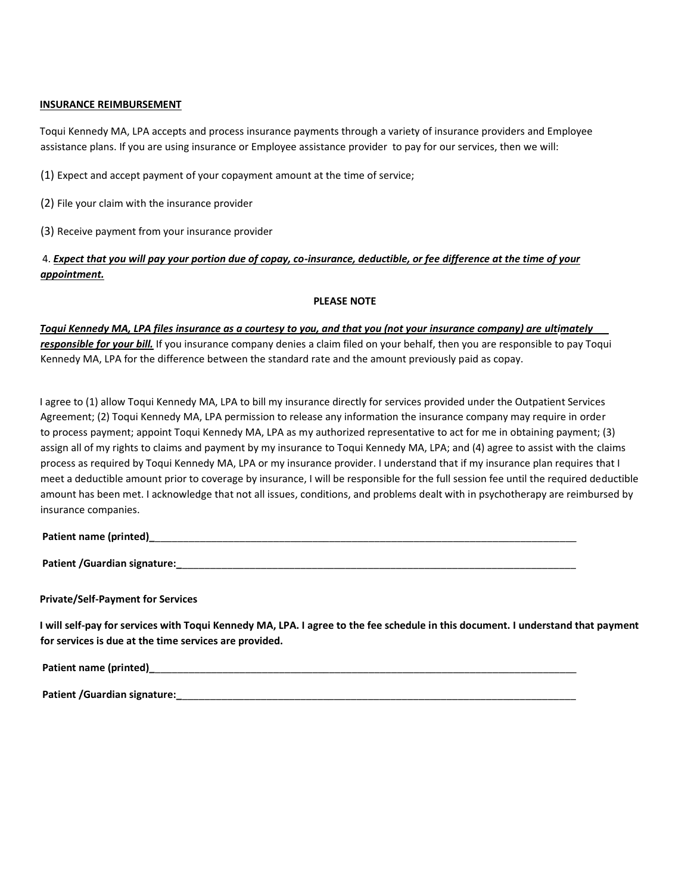### **INSURANCE REIMBURSEMENT**

Toqui Kennedy MA, LPA accepts and process insurance payments through a variety of insurance providers and Employee assistance plans. If you are using insurance or Employee assistance provider to pay for our services, then we will:

(1) Expect and accept payment of your copayment amount at the time of service;

(2) File your claim with the insurance provider

(3) Receive payment from your insurance provider

### 4. *Expect that you will pay your portion due of copay, co-insurance, deductible, or fee difference at the time of your appointment.*

### **PLEASE NOTE**

*Toqui Kennedy MA, LPA files insurance as a courtesy to you, and that you (not your insurance company) are ultimately responsible for your bill.* If you insurance company denies a claim filed on your behalf, then you are responsible to pay Toqui Kennedy MA, LPA for the difference between the standard rate and the amount previously paid as copay.

I agree to (1) allow Toqui Kennedy MA, LPA to bill my insurance directly for services provided under the Outpatient Services Agreement; (2) Toqui Kennedy MA, LPA permission to release any information the insurance company may require in order to process payment; appoint Toqui Kennedy MA, LPA as my authorized representative to act for me in obtaining payment; (3) assign all of my rights to claims and payment by my insurance to Toqui Kennedy MA, LPA; and (4) agree to assist with the claims process as required by Toqui Kennedy MA, LPA or my insurance provider. I understand that if my insurance plan requires that I meet a deductible amount prior to coverage by insurance, I will be responsible for the full session fee until the required deductible amount has been met. I acknowledge that not all issues, conditions, and problems dealt with in psychotherapy are reimbursed by insurance companies.

#### **Patient name (printed)**

**Patient /Guardian signature:\_**\_\_\_\_\_\_\_\_\_\_\_\_\_\_\_\_\_\_\_\_\_\_\_\_\_\_\_\_\_\_\_\_\_\_\_\_\_\_\_\_\_\_\_\_\_\_\_\_\_\_\_\_\_\_\_\_\_\_\_\_\_\_\_\_\_\_\_\_\_\_

**Private/Self-Payment for Services** 

**I will self-pay for services with Toqui Kennedy MA, LPA. I agree to the fee schedule in this document. I understand that payment for services is due at the time services are provided.** 

**Patient name (printed)\_**\_\_\_\_\_\_\_\_\_\_\_\_\_\_\_\_\_\_\_\_\_\_\_\_\_\_\_\_\_\_\_\_\_\_\_\_\_\_\_\_\_\_\_\_\_\_\_\_\_\_\_\_\_\_\_\_\_\_\_\_\_\_\_\_\_\_\_\_\_\_\_\_\_\_\_

**Patient /Guardian signature:\_**\_\_\_\_\_\_\_\_\_\_\_\_\_\_\_\_\_\_\_\_\_\_\_\_\_\_\_\_\_\_\_\_\_\_\_\_\_\_\_\_\_\_\_\_\_\_\_\_\_\_\_\_\_\_\_\_\_\_\_\_\_\_\_\_\_\_\_\_\_\_